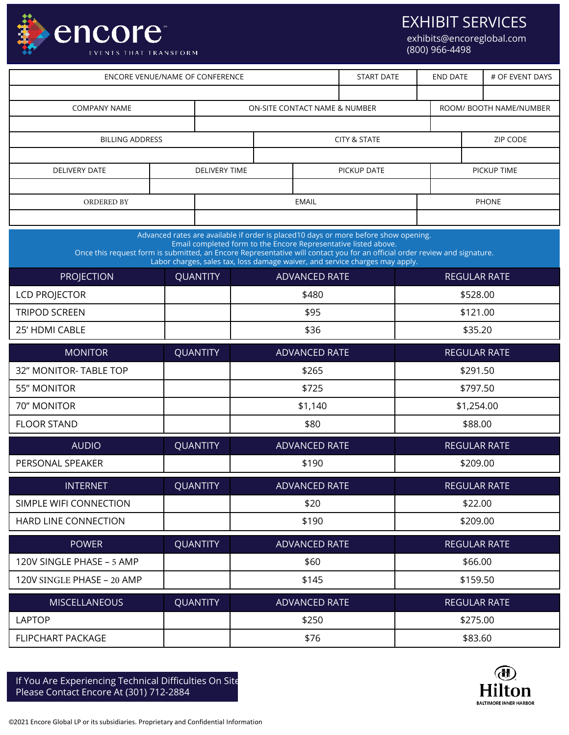

EXHIBIT SERVICES

exhibits@encoreglobal.com (800) 966-4498

| ENCORE VENUE/NAME OF CONFERENCE                                                                                            |  |                      |                               |               | <b>START DATE</b>                                                                                                                                                                                                                      | <b>END DATE</b>         |                     | # OF EVENT DAYS     |  |
|----------------------------------------------------------------------------------------------------------------------------|--|----------------------|-------------------------------|---------------|----------------------------------------------------------------------------------------------------------------------------------------------------------------------------------------------------------------------------------------|-------------------------|---------------------|---------------------|--|
|                                                                                                                            |  |                      |                               |               |                                                                                                                                                                                                                                        |                         |                     |                     |  |
| <b>COMPANY NAME</b>                                                                                                        |  |                      | ON-SITE CONTACT NAME & NUMBER |               |                                                                                                                                                                                                                                        | ROOM/ BOOTH NAME/NUMBER |                     |                     |  |
|                                                                                                                            |  |                      |                               |               |                                                                                                                                                                                                                                        |                         |                     |                     |  |
| <b>BILLING ADDRESS</b>                                                                                                     |  |                      | <b>CITY &amp; STATE</b>       |               |                                                                                                                                                                                                                                        | ZIP CODE                |                     |                     |  |
|                                                                                                                            |  |                      |                               |               |                                                                                                                                                                                                                                        |                         |                     |                     |  |
| <b>DELIVERY DATE</b>                                                                                                       |  | <b>DELIVERY TIME</b> | PICKUP DATE                   |               |                                                                                                                                                                                                                                        | PICKUP TIME             |                     |                     |  |
| ORDERED BY                                                                                                                 |  |                      | <b>EMAIL</b>                  |               |                                                                                                                                                                                                                                        | <b>PHONE</b>            |                     |                     |  |
|                                                                                                                            |  |                      |                               |               |                                                                                                                                                                                                                                        |                         |                     |                     |  |
| Once this request form is submitted, an Encore Representative will contact you for an official order review and signature. |  |                      |                               |               | Advanced rates are available if order is placed10 days or more before show opening.<br>Email completed form to the Encore Representative listed above.<br>Labor charges, sales tax, loss damage waiver, and service charges may apply. |                         |                     |                     |  |
| <b>PROJECTION</b>                                                                                                          |  | <b>QUANTITY</b>      | <b>ADVANCED RATE</b>          |               |                                                                                                                                                                                                                                        | <b>REGULAR RATE</b>     |                     |                     |  |
| <b>LCD PROJECTOR</b>                                                                                                       |  |                      | \$480                         |               |                                                                                                                                                                                                                                        | \$528.00                |                     |                     |  |
| <b>TRIPOD SCREEN</b>                                                                                                       |  |                      | \$95                          |               |                                                                                                                                                                                                                                        | \$121.00                |                     |                     |  |
| 25' HDMI CABLE                                                                                                             |  | \$36                 |                               | \$35.20       |                                                                                                                                                                                                                                        |                         |                     |                     |  |
| <b>MONITOR</b>                                                                                                             |  | <b>QUANTITY</b>      |                               | ADVANCED RATE |                                                                                                                                                                                                                                        | <b>REGULAR RATE</b>     |                     |                     |  |
| 32" MONITOR-TABLE TOP                                                                                                      |  |                      |                               | \$265         |                                                                                                                                                                                                                                        |                         | \$291.50            |                     |  |
| <b>55" MONITOR</b>                                                                                                         |  |                      | \$725                         |               |                                                                                                                                                                                                                                        | \$797.50                |                     |                     |  |
| 70" MONITOR                                                                                                                |  |                      | \$1,140                       |               |                                                                                                                                                                                                                                        | \$1,254.00              |                     |                     |  |
| <b>FLOOR STAND</b>                                                                                                         |  |                      | \$80                          |               |                                                                                                                                                                                                                                        | \$88.00                 |                     |                     |  |
| <b>QUANTITY</b><br><b>AUDIO</b>                                                                                            |  |                      | <b>ADVANCED RATE</b>          |               |                                                                                                                                                                                                                                        | <b>REGULAR RATE</b>     |                     |                     |  |
| PERSONAL SPEAKER                                                                                                           |  |                      | \$190                         |               |                                                                                                                                                                                                                                        | \$209.00                |                     |                     |  |
| <b>INTERNET</b><br>QUANTITY                                                                                                |  |                      | ADVANCED RATE                 |               |                                                                                                                                                                                                                                        | REGULAR RATE            |                     |                     |  |
| SIMPLE WIFI CONNECTION                                                                                                     |  |                      | \$20                          |               |                                                                                                                                                                                                                                        | \$22.00                 |                     |                     |  |
| HARD LINE CONNECTION                                                                                                       |  |                      | \$190                         |               |                                                                                                                                                                                                                                        | \$209.00                |                     |                     |  |
| <b>POWER</b>                                                                                                               |  | <b>QUANTITY</b>      | ADVANCED RATE                 |               |                                                                                                                                                                                                                                        |                         | <b>REGULAR RATE</b> |                     |  |
| 120V SINGLE PHASE - 5 AMP                                                                                                  |  |                      | \$60                          |               |                                                                                                                                                                                                                                        | \$66.00                 |                     |                     |  |
| 120V SINGLE PHASE - 20 AMP                                                                                                 |  |                      | \$145                         |               |                                                                                                                                                                                                                                        |                         | \$159.50            |                     |  |
| <b>MISCELLANEOUS</b>                                                                                                       |  | <b>QUANTITY</b>      |                               | ADVANCED RATE |                                                                                                                                                                                                                                        |                         |                     | <b>REGULAR RATE</b> |  |
| <b>LAPTOP</b>                                                                                                              |  |                      | \$250<br>\$275.00             |               |                                                                                                                                                                                                                                        |                         |                     |                     |  |
| <b>FLIPCHART PACKAGE</b>                                                                                                   |  | \$76                 |                               |               |                                                                                                                                                                                                                                        | \$83.60                 |                     |                     |  |

If You Are Experiencing Technical Difficulties On Site Please Contact Encore At (301) 712-2884